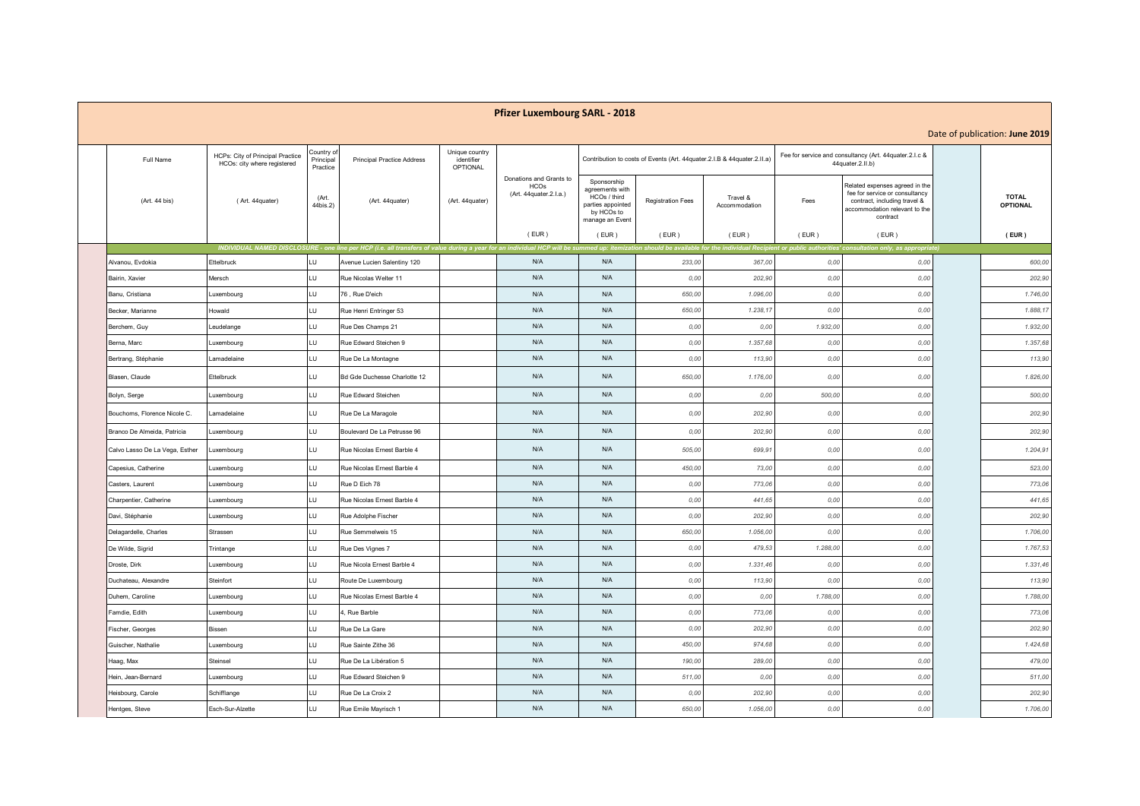## **Pfizer Luxembourg SARL - 2018**

## Date of publication: **June 2019**

| Date of publication: June 2019 |                                |                                                                 |                                     |                                                                                                                                                                                                                                |                                                 |                                                                  |                                                                                                      |                          |                                                                         |          |                                                                                                                                               |                                 |
|--------------------------------|--------------------------------|-----------------------------------------------------------------|-------------------------------------|--------------------------------------------------------------------------------------------------------------------------------------------------------------------------------------------------------------------------------|-------------------------------------------------|------------------------------------------------------------------|------------------------------------------------------------------------------------------------------|--------------------------|-------------------------------------------------------------------------|----------|-----------------------------------------------------------------------------------------------------------------------------------------------|---------------------------------|
|                                | Full Name                      | HCPs: City of Principal Practice<br>HCOs: city where registered | Country of<br>Principal<br>Practice | <b>Principal Practice Address</b>                                                                                                                                                                                              | Unique country<br>identifier<br><b>OPTIONAL</b> |                                                                  |                                                                                                      |                          | Contribution to costs of Events (Art. 44quater.2.I.B & 44quater.2.II.a) |          | Fee for service and consultancy (Art. 44quater.2.I.c &<br>44quater.2.II.b)                                                                    |                                 |
|                                | (Art. 44 bis)                  | (Art. 44quater)                                                 | (Art.<br>44bis.2)                   | (Art. 44quater)                                                                                                                                                                                                                | (Art. 44quater)                                 | Donations and Grants to<br><b>HCOs</b><br>(Art. 44quater.2.l.a.) | Sponsorship<br>agreements with<br>HCOs / third<br>parties appointed<br>by HCOs to<br>manage an Event | <b>Registration Fees</b> | Travel &<br>Accommodation                                               | Fees     | Related expenses agreed in the<br>fee for service or consultancy<br>contract, including travel &<br>accommodation relevant to the<br>contract | <b>TOTAL</b><br><b>OPTIONAL</b> |
|                                |                                |                                                                 |                                     |                                                                                                                                                                                                                                |                                                 | (EUR)                                                            | (EUR)                                                                                                | (EUR)                    | (EUR)                                                                   | (EUR)    | (EUR)                                                                                                                                         | $($ EUR $)$                     |
|                                |                                |                                                                 |                                     | INDIVIDUAL NAMED DISCLOSURE - one line per HCP (i.e. all transfers of value during a year for an individual HCP will be summed up: itemization should be available for the individual Recipient or public authorities' consult |                                                 |                                                                  |                                                                                                      |                          |                                                                         |          |                                                                                                                                               |                                 |
|                                | Alvanou, Evdokia               | Ettelbruck                                                      | ПŪ                                  | Avenue Lucien Salentiny 120                                                                                                                                                                                                    |                                                 | N/A                                                              | N/A                                                                                                  | 233,00                   | 367,00                                                                  | 0,00     | 0,00                                                                                                                                          | 600,00                          |
|                                | Bairin, Xavier                 | Mersch                                                          | LU                                  | Rue Nicolas Welter 11                                                                                                                                                                                                          |                                                 | N/A                                                              | N/A                                                                                                  | 0,00                     | 202,90                                                                  | 0,00     | 0,00                                                                                                                                          | 202,90                          |
|                                | Banu, Cristiana                | Luxembourg                                                      | LU                                  | 76, Rue D'eich                                                                                                                                                                                                                 |                                                 | N/A                                                              | N/A                                                                                                  | 650,00                   | 1.096,00                                                                | 0,00     | 0,00                                                                                                                                          | 1.746,00                        |
|                                | Becker, Marianne               | Howald                                                          | LU                                  | Rue Henri Entringer 53                                                                                                                                                                                                         |                                                 | N/A                                                              | N/A                                                                                                  | 650,00                   | 1.238,17                                                                | 0,00     | 0,00                                                                                                                                          | 1.888,17                        |
|                                | Berchem, Guy                   | Leudelange                                                      | LU                                  | Rue Des Champs 21                                                                                                                                                                                                              |                                                 | N/A                                                              | N/A                                                                                                  | 0,00                     | 0,00                                                                    | 1.932,00 | 0,00                                                                                                                                          | 1.932,00                        |
|                                | Berna, Marc                    | Luxembourg                                                      | LU                                  | Rue Edward Steichen 9                                                                                                                                                                                                          |                                                 | N/A                                                              | N/A                                                                                                  | 0,00                     | 1.357,68                                                                | 0,00     | 0,00                                                                                                                                          | 1.357,68                        |
|                                | Bertrang, Stéphanie            | Lamadelaine                                                     | LU                                  | Rue De La Montagne                                                                                                                                                                                                             |                                                 | N/A                                                              | N/A                                                                                                  | 0,00                     | 113,90                                                                  | 0,00     | 0,00                                                                                                                                          | 113,90                          |
|                                | Blasen, Claude                 | Ettelbruck                                                      | LU                                  | Bd Gde Duchesse Charlotte 12                                                                                                                                                                                                   |                                                 | N/A                                                              | N/A                                                                                                  | 650,00                   | 1.176,00                                                                | 0,00     | 0,00                                                                                                                                          | 1.826,00                        |
|                                | Bolyn, Serge                   | Luxembourg                                                      | LU                                  | Rue Edward Steichen                                                                                                                                                                                                            |                                                 | N/A                                                              | N/A                                                                                                  | 0.00                     | 0,00                                                                    | 500,00   | 0,00                                                                                                                                          | 500,00                          |
|                                | Bouchoms, Florence Nicole C.   | Lamadelaine                                                     | LU                                  | Rue De La Maragole                                                                                                                                                                                                             |                                                 | N/A                                                              | N/A                                                                                                  | 0,00                     | 202,90                                                                  | 0,00     | 0,00                                                                                                                                          | 202,90                          |
|                                | Branco De Almeida, Patricia    | Luxembourg                                                      | LU                                  | Boulevard De La Petrusse 96                                                                                                                                                                                                    |                                                 | N/A                                                              | N/A                                                                                                  | 0.00                     | 202,90                                                                  | 0,00     | 0,00                                                                                                                                          | 202,90                          |
|                                | Calvo Lasso De La Vega, Esther | Luxembourg                                                      | LU                                  | Rue Nicolas Ernest Barble 4                                                                                                                                                                                                    |                                                 | N/A                                                              | N/A                                                                                                  | 505,00                   | 699.91                                                                  | 0,00     | 0,00                                                                                                                                          | 1.204,91                        |
|                                | Capesius, Catherine            | Luxembourg                                                      | LU                                  | Rue Nicolas Ernest Barble 4                                                                                                                                                                                                    |                                                 | N/A                                                              | N/A                                                                                                  | 450,00                   | 73,00                                                                   | 0,00     | 0,00                                                                                                                                          | 523,00                          |
|                                | Casters, Laurent               | uxembourg                                                       | LU                                  | Rue D Eich 78                                                                                                                                                                                                                  |                                                 | N/A                                                              | N/A                                                                                                  | 0.00                     | 773.06                                                                  | 0.00     | 0,00                                                                                                                                          | 773,06                          |
|                                | Charpentier, Catherine         | Luxembourg                                                      | LU                                  | Rue Nicolas Ernest Barble 4                                                                                                                                                                                                    |                                                 | N/A                                                              | N/A                                                                                                  | 0,00                     | 441,65                                                                  | 0,00     | 0,00                                                                                                                                          | 441,65                          |
|                                | Davi, Stéphanie                | Luxembourg                                                      | LU                                  | Rue Adolphe Fischer                                                                                                                                                                                                            |                                                 | N/A                                                              | N/A                                                                                                  | 0,00                     | 202,90                                                                  | 0,00     | 0,00                                                                                                                                          | 202,90                          |
|                                | Delagardelle, Charles          | Strassen                                                        | LU                                  | Rue Semmelweis 15                                                                                                                                                                                                              |                                                 | N/A                                                              | N/A                                                                                                  | 650,00                   | 1.056,00                                                                | 0,00     | 0,00                                                                                                                                          | 1.706,00                        |
|                                | De Wilde, Sigrid               | Trintange                                                       | LU                                  | Rue Des Vignes 7                                                                                                                                                                                                               |                                                 | N/A                                                              | N/A                                                                                                  | 0,00                     | 479.53                                                                  | 1.288,00 | 0,00                                                                                                                                          | 1.767,53                        |
|                                | Droste, Dirk                   | Luxembourg                                                      | LU                                  | Rue Nicola Ernest Barble 4                                                                                                                                                                                                     |                                                 | N/A                                                              | N/A                                                                                                  | 0,00                     | 1.331,46                                                                | 0,00     | 0,00                                                                                                                                          | 1.331,46                        |
|                                | Duchateau, Alexandre           | Steinfort                                                       | LU                                  | Route De Luxembourg                                                                                                                                                                                                            |                                                 | N/A                                                              | N/A                                                                                                  | 0,00                     | 113,90                                                                  | 0,00     | 0,00                                                                                                                                          | 113,90                          |
|                                | Duhem, Caroline                | Luxembourg                                                      | LU                                  | Rue Nicolas Ernest Barble 4                                                                                                                                                                                                    |                                                 | N/A                                                              | N/A                                                                                                  | 0,00                     | 0,00                                                                    | 1.788,00 | 0,00                                                                                                                                          | 1.788,00                        |
|                                | Famdie, Edith                  | Luxembourg                                                      | LU                                  | 4, Rue Barble                                                                                                                                                                                                                  |                                                 | N/A                                                              | N/A                                                                                                  | 0,00                     | 773,06                                                                  | 0,00     | 0,00                                                                                                                                          | 773,06                          |
|                                | Fischer, Georges               | Bissen                                                          | LU                                  | Rue De La Gare                                                                                                                                                                                                                 |                                                 | N/A                                                              | N/A                                                                                                  | 0,00                     | 202,90                                                                  | 0,00     | 0,00                                                                                                                                          | 202,90                          |
|                                | Guischer, Nathalie             | Luxembourg                                                      | LU                                  | Rue Sainte Zithe 36                                                                                                                                                                                                            |                                                 | N/A                                                              | N/A                                                                                                  | 450,00                   | 974,68                                                                  | 0,00     | 0,00                                                                                                                                          | 1.424,68                        |
|                                | Haag, Max                      | Steinsel                                                        | LU                                  | Rue De La Libération 5                                                                                                                                                                                                         |                                                 | N/A                                                              | N/A                                                                                                  | 190,00                   | 289,00                                                                  | 0,00     | 0,00                                                                                                                                          | 479,00                          |
|                                | Hein, Jean-Bernard             | Luxembourg                                                      | LU                                  | Rue Edward Steichen 9                                                                                                                                                                                                          |                                                 | N/A                                                              | N/A                                                                                                  | 511,00                   | 0,00                                                                    | 0,00     | 0,00                                                                                                                                          | 511,00                          |
|                                | Heisbourg, Carole              | Schifflange                                                     | LU                                  | Rue De La Croix 2                                                                                                                                                                                                              |                                                 | N/A                                                              | N/A                                                                                                  | 0,00                     | 202,90                                                                  | 0,00     | 0,00                                                                                                                                          | 202,90                          |
|                                | Hentges, Steve                 | Esch-Sur-Alzette                                                | LU                                  | Rue Emile Mayrisch 1                                                                                                                                                                                                           |                                                 | N/A                                                              | N/A                                                                                                  | 650,00                   | 1.056,00                                                                | 0,00     | 0,00                                                                                                                                          | 1.706,00                        |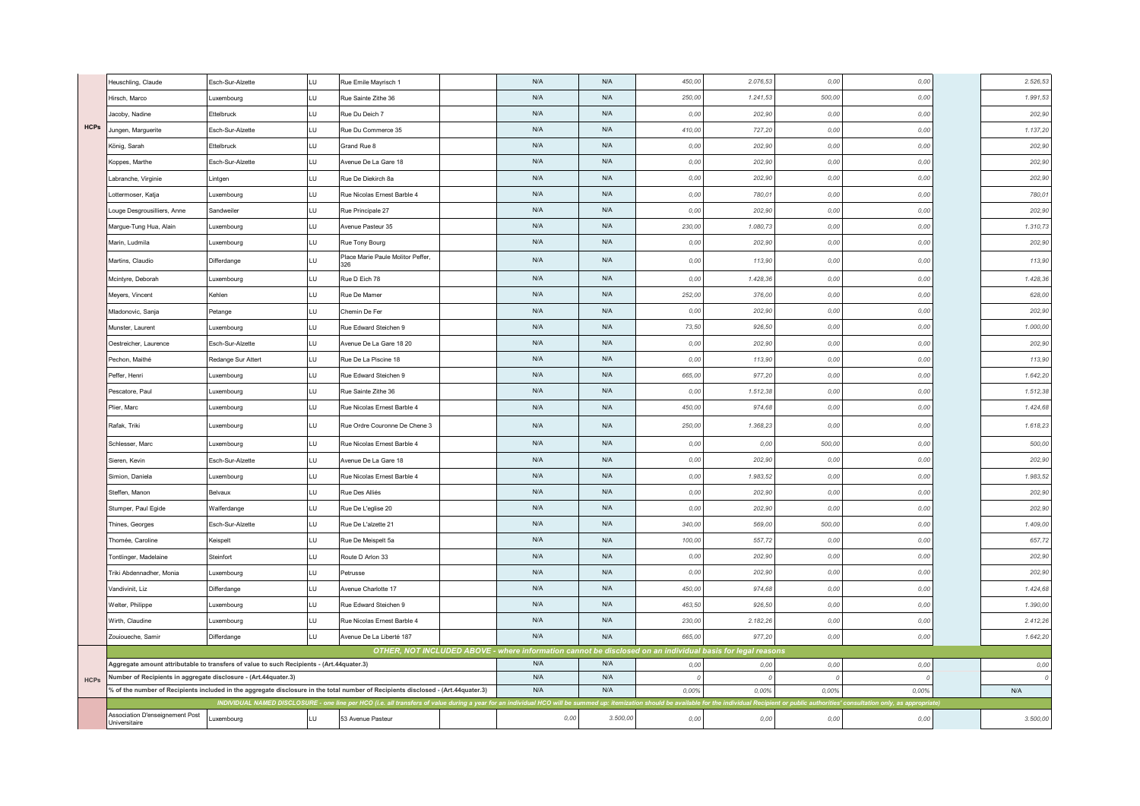|             | Heuschling, Claude                                                                                                              | Esch-Sur-Alzette   | LU  | Rue Emile Mayrisch 1                      |  | N/A  | N/A      | 450,00                                                        | 2.076.53  | 0,00   | 0,00                                                      |  | 2.526,53 |
|-------------|---------------------------------------------------------------------------------------------------------------------------------|--------------------|-----|-------------------------------------------|--|------|----------|---------------------------------------------------------------|-----------|--------|-----------------------------------------------------------|--|----------|
|             | Hirsch, Marco                                                                                                                   | uxembourg          | LU  | Rue Sainte Zithe 36                       |  | N/A  | N/A      | 250,00                                                        | 1.241,53  | 500,00 | 0,00                                                      |  | 1.991,53 |
|             | Jacoby, Nadine                                                                                                                  | Ettelbruck         | J.  | Rue Du Deich 7                            |  | N/A  | N/A      | 0,00                                                          | 202,90    | 0,00   | 0,00                                                      |  | 202,90   |
| <b>HCPs</b> | Jungen, Marguerite                                                                                                              | Esch-Sur-Alzette   | LU  | Rue Du Commerce 35                        |  | N/A  | N/A      | 410,00                                                        | 727,20    | 0,00   | 0,00                                                      |  | 1.137,20 |
|             | König, Sarah                                                                                                                    | Ettelbruck         | LU  | Grand Rue 8                               |  | N/A  | N/A      | 0,00                                                          | 202,90    | 0,00   | 0,00                                                      |  | 202,90   |
|             | Coppes, Marthe                                                                                                                  | Esch-Sur-Alzette   | J.  | Avenue De La Gare 18                      |  | N/A  | N/A      | 0,00                                                          | 202,90    | 0,00   | 0,00                                                      |  | 202,90   |
|             | abranche, Virginie                                                                                                              | Lintgen            | LU  | Rue De Diekirch 8a                        |  | N/A  | N/A      | 0,00                                                          | 202,90    | 0,00   | 0,00                                                      |  | 202,90   |
|             | ottermoser, Katja                                                                                                               | Luxembourg         | LU  | Rue Nicolas Ernest Barble 4               |  | N/A  | N/A      | 0,00                                                          | 780,01    | 0,00   | 0,00                                                      |  | 780,01   |
|             | ouge Desgrousilliers, Anne                                                                                                      | Sandweiler         | LU  | Rue Principale 27                         |  | N/A  | N/A      | 0,00                                                          | 202,90    | 0,00   | 0,00                                                      |  | 202,90   |
|             | Margue-Tung Hua, Alain                                                                                                          | Luxembourg         | LU. | Avenue Pasteur 35                         |  | N/A  | N/A      | 230,00                                                        | 1.080, 7. | 0,00   | 0,00                                                      |  | 1.310,73 |
|             | Marin, Ludmila                                                                                                                  | Luxembourg         | U.  | Rue Tony Bourg                            |  | N/A  | N/A      | 0.00                                                          | 202,90    | 0,00   | 0,00                                                      |  | 202,90   |
|             | Martins, Claudio                                                                                                                | Differdange        | LU  | Place Marie Paule Molitor Peffer,<br>326. |  | N/A  | N/A      | 0,00                                                          | 113,90    | 0,00   | 0,00                                                      |  | 113,90   |
|             | Mcintyre, Deborah                                                                                                               | Luxembourg         | LU  | Rue D Eich 78                             |  | N/A  | N/A      | 0,00                                                          | 1.428, 36 | 0,00   | 0,00                                                      |  | 1.428,36 |
|             | Meyers, Vincent                                                                                                                 | Kehlen             | LU. | Rue De Mamer                              |  | N/A  | N/A      | 252,00                                                        | 376,00    | 0,00   | 0,00                                                      |  | 628,00   |
|             | Mladonovic, Sanja                                                                                                               | Petange            | LU. | Chemin De Fer                             |  | N/A  | N/A      | 0,00                                                          | 202,90    | 0,00   | 0,00                                                      |  | 202,90   |
|             | Munster, Laurent                                                                                                                | uxembourg          | LU  | Rue Edward Steichen 9                     |  | N/A  | N/A      | 73,50                                                         | 926,50    | 0,00   | 0,00                                                      |  | 1.000,00 |
|             | Oestreicher, Laurence                                                                                                           | Esch-Sur-Alzette   | U   | Avenue De La Gare 18 20                   |  | N/A  | N/A      | 0,00                                                          | 202,90    | 0,00   | 0,00                                                      |  | 202,90   |
|             | Pechon, Maithé                                                                                                                  | Redange Sur Attert | ПT  | Rue De La Piscine 18                      |  | N/A  | N/A      | 0,00                                                          | 113,90    | 0,00   | 0,00                                                      |  | 113,90   |
|             | Peffer, Henri                                                                                                                   | Luxembourg         | LU  | Rue Edward Steichen 9                     |  | N/A  | N/A      | 665,00                                                        | 977,20    | 0,00   | 0,00                                                      |  | 1.642,20 |
|             | Pescatore, Paul                                                                                                                 | Luxembourg         | U   | Rue Sainte Zithe 36                       |  | N/A  | N/A      | 0,00                                                          | 1.512,38  | 0,00   | 0,00                                                      |  | 1.512,38 |
|             | Plier, Marc                                                                                                                     | Luxembourg         | LU. | Rue Nicolas Ernest Barble 4               |  | N/A  | N/A      | 450,00                                                        | 974.68    | 0,00   | 0,00                                                      |  | 1.424,68 |
|             | Rafak, Triki                                                                                                                    | uxembourg          | LU  | Rue Ordre Couronne De Chene 3             |  | N/A  | N/A      | 250,00                                                        | 1.368,23  | 0,00   | 0,00                                                      |  | 1.618,23 |
|             | Schlesser, Marc                                                                                                                 | Luxembourg         | J.  | Rue Nicolas Ernest Barble 4               |  | N/A  | N/A      | 0,00                                                          | 0,00      | 500,00 | 0,00                                                      |  | 500,00   |
|             | Sieren, Kevin                                                                                                                   | Esch-Sur-Alzette   | LU. | Avenue De La Gare 18                      |  | N/A  | N/A      | 0,00                                                          | 202,90    | 0,00   | 0,00                                                      |  | 202,90   |
|             | Simion, Daniela                                                                                                                 | Luxembourg         | LU  | Rue Nicolas Ernest Barble 4               |  | N/A  | N/A      | 0,00                                                          | 1.983,52  | 0,00   | 0,00                                                      |  | 1.983,52 |
|             | Steffen, Manon                                                                                                                  | Belvaux            | J.  | Rue Des Alliés                            |  | N/A  | N/A      | 0,00                                                          | 202,90    | 0,00   | 0,00                                                      |  | 202,90   |
|             | Stumper, Paul Egide                                                                                                             | Walferdange        | LU. | Rue De L'eglise 20                        |  | N/A  | N/A      | 0,00                                                          | 202,90    | 0,00   | 0,00                                                      |  | 202,90   |
|             | Thines, Georges                                                                                                                 | Esch-Sur-Alzette   | LU  | Rue De L'alzette 21                       |  | N/A  | N/A      | 340,00                                                        | 569,00    | 500,00 | 0,00                                                      |  | 1.409,00 |
|             | Thomée, Caroline                                                                                                                | Keispelt           | LU  | Rue De Meispelt 5a                        |  | N/A  | N/A      | 100,00                                                        | 557,72    | 0,00   | 0,00                                                      |  | 657,72   |
|             | Tontlinger, Madelaine                                                                                                           | Steinfort          | LU  | Route D Arlon 33                          |  | N/A  | N/A      | 0,00                                                          | 202,90    | 0,00   | 0,00                                                      |  | 202,90   |
|             | Triki Abdennadher, Monia                                                                                                        | Luxembourg         | LU  | Petrusse                                  |  | N/A  | N/A      | 0,00                                                          | 202,90    | 0,00   | 0,00                                                      |  | 202,90   |
|             | Vandivinit, Liz                                                                                                                 | Differdange        | LU  | Avenue Charlotte 17                       |  | N/A  | N/A      | 450,00                                                        | 974,68    | 0,00   | 0,00                                                      |  | 1.424,68 |
|             | Welter, Philippe                                                                                                                | Luxembourg         | LU  | Rue Edward Steichen 9                     |  | N/A  | N/A      | 463,50                                                        | 926.50    | 0,00   | 0,00                                                      |  | 1.390,00 |
|             | Wirth, Claudine                                                                                                                 | Luxembourg         | LU  | Rue Nicolas Ernest Barble 4               |  | N/A  | N/A      | 230,00                                                        | 2.182,26  | 0,00   | 0,00                                                      |  | 2.412,26 |
|             | Zouioueche, Samir                                                                                                               | Differdange        | LU  | Avenue De La Liberté 187                  |  | N/A  | N/A      | 665,00                                                        | 977,20    | 0,00   | 0,00                                                      |  | 1.642,20 |
|             | OTHER, NOT INCLUDED ABOVE - where information cannot be disclosed on an individual basis for legal reasons                      |                    |     |                                           |  |      |          |                                                               |           |        |                                                           |  |          |
|             | Aggregate amount attributable to transfers of value to such Recipients - (Art.44quater.3)                                       |                    |     |                                           |  | N/A  | N/A      | 0,00                                                          | 0,00      | 0,00   | 0,00                                                      |  | 0,00     |
| <b>HCPs</b> | Number of Recipients in aggregate disclosure - (Art.44quater.3)                                                                 |                    |     |                                           |  | N/A  | N/A      | $\Omega$                                                      |           |        |                                                           |  |          |
|             | of the number of Recipients included in the aggregate disclosure in the total number of Recipients disclosed - (Art.44quater.3) |                    |     |                                           |  | N/A  | N/A      | 0.00%                                                         | 0.00%     | 0.00%  | 0.00%                                                     |  | N/A      |
|             | INDIVIDUAL NAMED DISCLOSURE - one line per HCO (i.e. all transfers of value during a year for an individual HCO will be sun     |                    |     |                                           |  |      |          | d up: itemization should be available for the individual Rec. |           |        | nt or public authorities' consultation only, as appropria |  |          |
|             | Association D'enseignement Post<br>Universitaire                                                                                | Luxembourg         | LU  | 53 Avenue Pasteur                         |  | 0,00 | 3.500,00 | 0,00                                                          | 0,00      | 0,00   | 0,00                                                      |  | 3.500,00 |